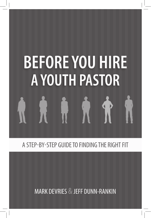# **BEFORE YOU HIRE A YOUTH PASTOR**

# A STEP-BY-STEP GUIDE TO FINDING THE RIGHT FIT

**MARK DEVRIES & JEFF DUNN-RANKIN**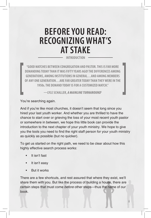# **Before You Read: Recognizing What's at Stake**

**Introduction**

**"Good matches between congregation and pastor. This is far more demanding today than it was fiftyyears ago! The differences among generations, among institutions in general…and among members of any one generation…are far greater today than they were in the 1950s. The demand today is for a customized match."**

**—Lyle Schaller,** *A Mainline Turnaround***<sup>1</sup>**

You're searching again.

And if you're like most churches, it doesn't seem that long since you hired your last youth worker. And whether you are thrilled to have the chance to start over or grieving the loss of your most recent youth pastor or somewhere in between, we hope this little book can provide the introduction to the next chapter of your youth ministry. We hope to give you the tools you need to find the right staff person for your youth ministry as quickly as possible (but no quicker).

To get us started on the right path, we need to be clear about how this highly effective search process works:

- It isn't fast
- It isn't easy
- But it works

There are a few shortcuts, and rest assured that where they exist, we'll share them with you. But like the process of building a house, there are certain steps that must come before other steps—thus the name of our book.

**i**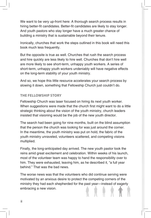We want to be very up-front here: A thorough search process results in hiring better-fit candidates. Better-fit candidates are likely to stay longer. And youth pastors who stay longer have a much greater chance of building a ministry that is sustainable beyond their tenure.

Ironically, churches that work the steps outlined in this book will need this book much less frequently.

But the opposite is true as well. Churches that rush the search process and hire quickly are less likely to hire well. Churches that don't hire well are more likely to see short-term, unhappy youth workers. A series of short-term, unhappy youth workers undeniably will have negative effects on the long-term stability of your youth ministry.

And so, we hope this little resource accelerates your search process by slowing it down, something that Fellowship Church just couldn't do.

## **the Fellowship stoRY**

Fellowship Church was laser focused on hiring its next youth worker. When suggestions were made that the church first might want to do a little strategic thinking about the vision of the youth ministry, church leaders insisted that visioning would be the job of the new youth director.

The search had been going for nine months, built on the blind assumption that the person the church was looking for was just around the corner. In the meantime, the youth ministry was put on hold, the fabric of the youth ministry unraveled, volunteers scattered, and competing visions multiplied.

Finally, the long-anticipated day arrived. The new youth pastor took the reins amid great excitement and celebration. Within weeks of his launch, most of the volunteer team was happy to hand the responsibility over to him. They were exhausted, leaving him, as he described it, "a full year behind." That was the bad news.

The worse news was that the volunteers who did continue serving were motivated by an anxious desire to protect the competing corners of the ministry they had each shepherded for the past year—instead of eagerly embracing a new vision.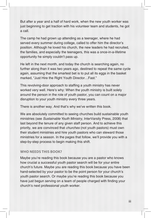But after a year and a half of hard work, when the new youth worker was just beginning to get traction with his volunteer team and students, he got a call.

The camp he had grown up attending as a teenager, where he had served every summer during college, called to offer him the director's position. Although he loved his church, the new leaders he had recruited, the families, and especially the teenagers, this was a once-in-a-lifetime opportunity he simply couldn't pass up.

He left in the next month, and today the church is searching again, no further along than it was two years ago, destined to repeat the same cycle again, assuming that the smartest bet is to put all its eggs in the basket marked, "Just Hire the Right Youth Director…Fast."

This revolving-door approach to staffing a youth ministry has never worked very well. Here's why: When the youth ministry is built solely around the person in the role of youth pastor, you can count on a major disruption to your youth ministry every three years.

There is another way. And that's why we've written this book.

We are absolutely committed to seeing churches build sustainable youth ministries (see Sustainable Youth Ministry, InterVarsity Press, 2008) that last beyond the tenure of any given staff person. And to achieve this priority, we are convinced that churches (not youth pastors) must own their student ministries and hire youth pastors who can steward those ministries for a season. In the pages that follow, we'll provide you with a step-by-step process to begin making this shift.

#### **who neeDs this booK?**

Maybe you're reading this book because you are a pastor who knows how crucial a successful youth pastor search will be for your entire church's future. Maybe you are reading this book because you have been hand-selected by your pastor to be the point person for your church's youth pastor search. Or maybe you're reading this book because you have just begun serving on a team of people charged with finding your church's next professional youth worker.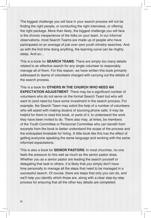The biggest challenge you will face in your search process will not be finding the right people, or conducting the right interviews, or offering the right package. More than likely, the biggest challenge you will face is the chronic inexperience of the folks on your team. In our informal observations, most Search Teams are made up of people who have participated on an average of just over zero youth ministry searches. And as with the first time doing anything, the learning curve can be mighty steep. And so…

This is a book for **SEARCH TEAMS**: There are simply too many details related to an effective search for any single volunteer to reasonably manage all of them. For this reason, we have written this book primarily addressed to teams of volunteers charged with carrying out the details of the search process.

This is a book for **OTHERS IN THE CHURCH WHO NEED AN EXPECTATION ADJUSTMENT:** There may be a significant number of volunteers who do not serve on the formal Search Team but who will want to (and need to) have some investment in the search process. For example, the Search Team may solicit the help of a number of volunteers who will assist with making dozens of sourcing phone calls. It may be helpful for them to read this book, or parts of it, to understand the work they have been invited to do. There also may, at times, be members of the Youth Committee or Personnel Committee who can benefit from excerpts from the book to better understand the scope of the process and the anticipated timetable for hiring. A little book like this has the effect of getting everyone speaking the same language and working with the same informed expectations.

This is also a book for **SENIOR PASTORS**: In most churches, no one feels the pressure to hire well as much as the senior pastor does. Whether you as a senior pastor are leading the search yourself or delegating that task to others, it is likely that you simply don't have time personally to manage all the steps that need to be managed in a successful search. Of course, there are steps that only you can do, and we'll help you identify which those are, along with a clear step-by-step process for ensuring that all the other key details are completed.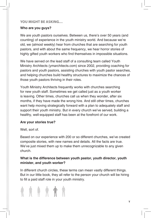### **YoU might be AsKing…**

# **Who are you guys?**

We are youth pastors ourselves. Between us, there's over 50 years (and counting) of experience in the youth ministry world. And because we're old, we (almost weekly) hear from churches that are searching for youth pastors, and with about the same frequency, we hear horror stories of highly gifted youth workers who find themselves in impossible situations.

We have served on the lead staff of a consulting team called Youth Ministry Architects (ymarchitects.com) since 2002, providing coaching for pastors and youth pastors, assisting churches with youth pastor searches, and helping churches build healthy structures to maximize the chances of those youth pastors thriving in their roles.

Youth Ministry Architects frequently works with churches searching for new youth staff. Sometimes we get called just as a youth worker is leaving. Other times, churches call us when they wonder, after six months, if they have made the wrong hire. And still other times, churches want help moving strategically forward with a plan to adequately staff and support their youth ministry. But in every church we've served, building a healthy, well-equipped staff has been at the forefront of our work.

## **Are your stories true?**

#### Well, sort of.

Based on our experience with 200 or so different churches, we've created composite stories, with new names and details. All the facts are true. We've just mixed them up to make them unrecognizable to any given church.

# **What is the difference between youth pastor, youth director, youth minister, and youth worker?**

In different church circles, these terms can mean vastly different things. But in our little book, they all refer to the person your church will be hiring to fill a paid staff role in your youth ministry.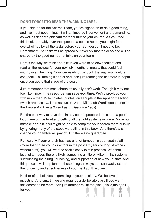#### **Don't FoRget to ReAD the wARning lAbel**

If you sign on for the Search Team, you've signed on to do a good thing, and like most good things, it will at times be inconvenient and demanding, as well as deeply significant for the future of your church. As you read this book, probably over the space of a couple hours, you might feel overwhelmed by all the tasks before you. But you don't need to be. Remember: The tasks will be spread out over six months or so and will be shared by the good number of folks on your team.

Here's the way we think about it: If you were to sit down tonight and read all the recipes for your next six months of meals, that could feel mighty overwhelming. Consider reading this book the way you would a cookbook—skimming it at first and then just reading the chapters in depth once you get to that stage of the search.

Just remember that most shortcuts usually don't work. Though it may not feel like it now, **this resource will save you time**. We've provided you with more than 15 templates, guides, and scripts in the Appendix section (which are also available as customizable Microsoft Word® documents in the Before You Hire a Youth Pastor Resource Pack).

But the best way to save time in any search process is to spend a good bit of time on the front end getting all the right systems in place. Make no mistake about it. You might be able to complete your search more quickly by ignoring many of the steps we outline in this book. And there's a slim chance your gamble will pay off. But there's no guarantee.

Particularly if your church has had a lot of turnover in your youth staff (more than three youth directors in the past six years or long stretches without staff), you will want to stick closely to this process. With that level of turnover, there is likely something a little off-kilter in the systems surrounding the hiring, launching, and supporting of new youth staff. And this process will help tend to those things in ways that can vastly extend the longevity and effectiveness of your next youth worker.

Neither of us believes in gambling in youth ministry. We believe in investing. And smart investing requires a deliberate plan. If you want this search to be more than just another roll of the dice, this is the book for you.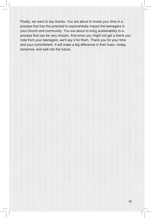Finally, we want to say thanks. You are about to invest your time in a process that has the potential to exponentially impact the teenagers in your church and community. You are about to bring sustainability to a process that can be very chaotic. And since you might not get a thank you note from your teenagers, we'll say it for them. Thank you for your time and your commitment. It will make a big difference in their lives—today, tomorrow, and well into the future.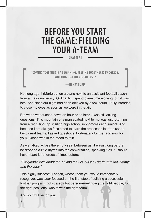# **Before You start the game: fielding your a-team**

**chapter 1**

**"Coming together is a beginning. Keeping together is progress. Working together is success."**

#### **—HenryFord**

Not long ago, I (Mark) sat on a plane next to an assistant football coach from a major university. Ordinarily, I spend plane time working, but it was late. And since our flight had been delayed by a few hours, I fully intended to close my eyes as soon as we were in the air.

But when we touched down an hour or so later, I was still asking questions. This mountain of a man seated next to me was just returning from a recruiting trip, visiting high school sophomores and juniors. And because I am always fascinated to learn the processes leaders use to build great teams, I asked questions. Fortunately for me (and now for you), Coach was in the mood to talk.

As we talked across the empty seat between us, it wasn't long before he dropped a little rhyme into the conversation, speaking it as if I should have heard it hundreds of times before:

"Everybody talks about the Xs and the Os, but it all starts with the Jimmys and the Joes."

This highly successful coach, whose team you would immediately recognize, was laser focused on the first step of building a successful football program: not strategy but personnel—finding the right people, for the right positions, who fit with the right team.

And so it will be for you.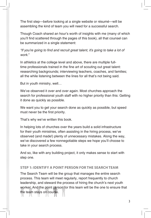The first step—before looking at a single website or résumé—will be assembling the kind of team you will need for a successful search.

Though Coach shared an hour's worth of insights with me (many of which you'll find scattered through the pages of this book), all that counsel can be summarized in a single statement:

# "If you're going to find and recruit great talent, it's going to take a lot of work."

In athletics at the college level and above, there are multiple fulltime professionals trained in the fine art of scouting out great talent: researching backgrounds; interviewing teachers, coaches, and families; all the while listening between the lines for all that's not being said.

But in youth ministry, well…

We've observed it over and over again. Most churches approach the search for professional youth staff with no higher priority than this: Getting it done as quickly as possible.

We want you to get your search done as quickly as possible, but speed must never be the first priority.

That's why we've written this book.

In helping lots of churches over the years build a solid infrastructure for their youth ministries, often assisting in the hiring process, we've observed (and made!) plenty of unnecessary mistakes. Along the way, we've discovered a few nonnegotiable steps we hope you'll choose to take in your search process.

And so, like with any building project, it only makes sense to start with step one.

## **step 1: iDentiFY A point peRson FoR the seARCh teAm**

The Search Team will be the group that manages the entire search process. This team will meet regularly, report frequently to church leadership, and steward the process of hiring the church's next youth worker. And the point person for this team will be the one to ensure that the team stays on course.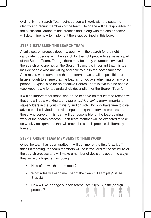Ordinarily the Search Team point person will work with the pastor to identify and recruit members of the team. He or she will be responsible for the successful launch of this process and, along with the senior pastor, will determine how to implement the steps outlined in this book.

# **step 2: estAblish the seARCh teAm**

A solid search process does *not* begin with the search for the right candidate. It begins with the search for the right people to serve as a part of the Search Team. Though there may be many volunteers involved in the search who are not on the Search Team, it is important that this team include people who are willing and able to put in the necessary time. As a result, we recommend that the team be as small as possible but large enough to ensure that the load is not too overwhelming on any one person. A typical size for an effective Search Team is five to nine people (see Appendix A for a standard job description for the Search Team).

It will be important for those who agree to serve on this team to recognize that this will be a working team, not an advice-giving team. Important stakeholders in the youth ministry and church who only have time to give advice can be invited to provide input during the interview process, but those who serve on this team will be responsible for the load-bearing work of the search process. Each team member will be expected to take on weekly assignments that will move the search process deliberately forward.

# **step 3: oRient teAm membeRs to theiR woRK**

Once the team has been drafted, it will be time for the first "practice." In this first meeting, the team members will be introduced to the structure of the search process and will make a number of decisions about the ways they will work together, including:

- How often will the team meet?
- What roles will each member of the Search Team play? (See Step 8.)
- How will we engage support teams (see Step 8) in the search process?**EXECUTER SECTION**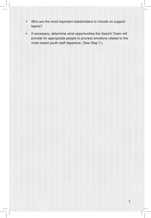- Who are the most important stakeholders to include on support teams?
- If necessary, determine what opportunities the Search Team will provide for appropriate people to process emotions related to the most recent youth staff departure. (See Step 7.)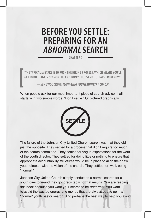# **Before You settle: preparing for an abnormal search**

**chapter 2**

**"The typical mistake is to rush the hiring process, which means you'll get to do it again six months and forty thousand dollars from now."**

**—Mike Woodruff,** *Managing Youth Ministry Chaos***<sup>2</sup>**

When people ask for our most important piece of search advice, it all starts with two simple words: "Don't settle." Or pictured graphically:



The failure of the Johnson City United Church search was that they did just the opposite. They settled for a process that didn't require too much of the search committee. They settled for vague expectations for the work of the youth director. They settled for doing little or nothing to ensure that appropriate accountability structures would be in place to align their new youth director with the vision of the church. They settled for, well, being "normal."

Johnson City United Church simply conducted a normal search for a youth director—and they got predictably normal results. You are reading this book because you want your search to be abnormal. You want to avoid the wasted energy and money that are always bound up in a "normal" youth pastor search. And perhaps the best way to help you avoid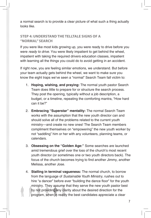a normal search is to provide a clear picture of what such a thing actually looks like.

# **step 4: UnDeRstAnD the telltAle signs oF A "noRmAl" seARCh**

If you were like most kids growing up, you were ready to drive before you were ready to drive. You were likely impatient to get behind the wheel, impatient with taking the required drivers education classes, impatient with learning all the things you could do to avoid getting in an accident.

If right now, you are feeling similar emotions, we understand. But before your team actually gets behind the wheel, we want to make sure you know the eight traps we've seen a "normal" Search Team fall victim to:

- 1. **Hoping, wishing, and praying:** The normal youth pastor Search Team does little to prepare for or structure the search process. They post the opening, typically without a job description, a budget, or a timeline, repeating the comforting mantra, "How hard can it be?"
- 2. **Embracing "Superstar" mentality:** The normal Search Team works with the assumption that the new youth director can and should solve all of the problems related to the current youth ministry—and create no new ones! The Search Team members compliment themselves on "empowering" the new youth worker by not "saddling" him or her with any volunteers, planning teams, or calendars.
- 3. **Obsessing on the "Golden Age:"** Some searches are launched amid tremendous grief over the loss of the church's most recent youth director (or sometimes one or two youth directors back). The focus of the church becomes trying to find another Jimmy, another Melissa, another Jose.
- 4. **Stalling in terminal vagueness:** The normal church, to borrow from the language of Sustainable Youth Ministry, rushes out to hire "a dancer" before ever "building the dance floor" for the youth ministry. They assume that they serve the new youth pastor best by not providing any clarity about the desired direction for the program, when in reality the best candidates appreciate a clear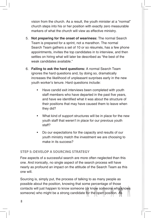vision from the church. As a result, the youth minister at a "normal" church steps into his or her position with exactly zero measurable markers of what the church will view as effective ministry.

- 5. **Not preparing for the onset of weariness:** The normal Search Team is prepared for a sprint, not a marathon. The normal Search Team gathers a set of 10 or so résumés, has a few phone appointments, invites the top candidates in to interview, and then settles on hiring what will later be described as "the best of the weak candidates available."
- 6. **Failing to ask the hard questions:** A normal Search Team ignores the hard questions and, by doing so, dramatically increases the likelihood of unpleasant surprises early in the new youth worker's tenure. Hard questions include:
	- Have candid exit interviews been completed with youth staff members who have departed in the past five years, and have we identified what it was about the structure of their positions that may have caused them to leave when they did?
	- What kind of support structures will be in place for the new youth staff that weren't in place for our previous youth staff?
	- Do our expectations for the capacity and results of our youth ministry match the investment we are choosing to make in its success?

# **step 5: DeVelop A soURCing stRAtegY**

Few aspects of a successful search are more often neglected than this one. And ironically, no single aspect of the search process will have nearly as profound an impact on the attitude of the Search Team as this one will.

Sourcing is, simply put, the process of talking to as many people as possible about the position, knowing that some percentage of those contacts will just happen to know someone (or know someone who knows someone) who might be a strong candidate for the open position. As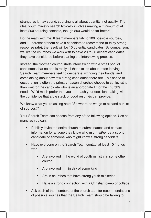strange as it may sound, sourcing is all about quantity, not quality. The ideal youth ministry search typically involves making a minimum of at least 200 sourcing contacts, though 500 would be far better!

Do the math with me: If team members talk to 100 possible sources, and 10 percent of them have a candidate to recommend (a fairly strong response rate), the result will be 10 potential candidates. By comparison, we like the churches we work with to have 20 to 50 decent candidates they have considered before starting the interviewing process.

Instead, the "normal" church starts interviewing with a small pool of candidates that no one is really all that excited about, often leaving Search Team members feeling desperate, wringing their hands, and complaining about how few strong candidates there are. This sense of desperation is often the primary reason churches choose to settle, rather than wait for the candidate who is an appropriate fit for the church's needs. We'd much prefer that you approach your decision making with the confidence that a big stack of good résumés can provide.

We know what you're asking next: "So where do we go to expand our list of sources?"

Your Search Team can choose from any of the following options. Use as many as you can:

- Publicly invite the entire church to submit names and contact information for anyone they know who might either be a strong candidate or someone who might know a strong candidate.
- Have everyone on the Search Team contact at least 10 friends who:
	- Are involved in the world of youth ministry in some other church
	- Are involved in ministry of some kind
	- Are in churches that have strong youth ministries
	- Have a strong connection with a Christian camp or college
- Ask each of the members of the church staff for recommendations of possible sources that the Search Team should be talking to.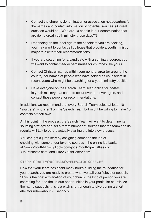- Contact the church's denomination or association headquarters for the names and contact information of potential sources. (A great question would be, "Who are 10 people in our denomination that are doing great youth ministry these days?")
- Depending on the ideal age of the candidate you are seeking, you may want to contact all colleges that provide a youth ministry major to ask for their recommendations.
- If you are searching for a candidate with a seminary degree, you will want to contact feeder seminaries for churches like yours.
- Contact Christian camps within your general area (or around the country) for names of people who have served as counselors in recent years who might be searching for a youth ministry position.
- Have everyone on the Search Team scan online for names in youth ministry that seem to occur over and over again, and contact those people for recommendations.

In addition, we recommend that every Search Team select at least 10 "sourcers" who aren't on the Search Team but might be willing to make 10 contacts of their own.

At this point in the process, the Search Team will want to determine its sourcing strategy and set a target number of sources that the team and its recruits will talk to before actually starting the interview process.

You can get a jump start by assigning someone the job of checking with some of our favorite sources—the online job banks at SimplyYouthMinistryTools.com/jobs, YouthSpecialties.com, YMArchitects.com, and HireAYouthPastor.com.

## **step 6: CRAFt YoUR teAm's "eleVAtoR speeCh"**

Now that your team has spent many hours building the foundation for your search, you are ready to create what we call your "elevator speech. "This is the brief explanation of your church, the kind of person you are searching for, and the unique opportunities in your particular church. As the name suggests, this is a pitch short enough to give during a short elevator ride—about 20 seconds.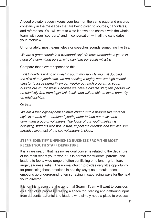A good elevator speech keeps your team on the same page and ensures constancy in the messages that are being given to sources, candidates, and references. You will want to write it down and share it with the whole team, with your "sourcers," and in conversation with all the candidates your interview.

Unfortunately, most teams' elevator speeches sounds something like this:

We are a great church in a wonderful city! We have tremendous youth in need of a committed person who can lead our youth ministry.

Compare that elevator speech to this:

First Church is willing to invest in youth ministry. Having just doubled the size of our youth staff, we are seeking a highly creative high school director to focus primarily on our weekly outreach program to youth outside our church walls. Because we have a diverse staff, this person will be relatively free from logistical details and will be able to focus primarily on relationships.

Or this:

We are a theologically conservative church with a progressive worship style in search of an ordained youth pastor to lead our active and committed group of volunteers. The focus of our youth ministry is discipling students who will, in turn, impact their friends and families. We already have most of the key volunteers in place.

# **step 7: iDentiFY UnFinisheD bUsiness FRom the most ReCent YoUth stAFF DepARtURe**

It is a rare search that has no residual concerns related to the departure of the most recent youth worker. It is normal for students, parents, and leaders to feel a wide range of often conflicting emotions—grief, fear, anger, sadness, relief. The normal church provides very little opportunity for processing these emotions in healthy ways; as a result, those emotions go underground, often surfacing in sabotaging ways for the next youth director.

It is for this reason that the abnormal Search Team will want to consider, as a part of its process, creating a space for listening and gathering input from students, parents, and leaders who simply need a place to process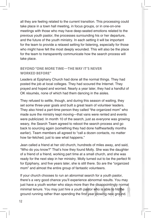all they are feeling related to the current transition. This processing could take place in a town hall meeting, in focus groups, or in one-on-one meetings with those who may have deep-seated emotions related to the previous youth pastor, the processes surrounding his or her departure, and the future of the youth ministry. In each setting it will be important for the team to provide a relaxed setting for listening, especially for those who might have felt the most deeply wounded. This will also be the place for the team to transparently communicate how the search process will take place.

# **beYonD "one moRe time—the wAY it's neVeR woRKeD beFoRe"**

Leaders at Epiphany Church had done all the normal things. They had posted the job at local colleges. They had scoured the Internet. They prayed and hoped and worried. Nearly a year later, they had a handful of OK résumés, none of which had them dancing in the aisles.

They refused to settle, though, and during this season of waiting, they set some three-year goals and built a great team of volunteer leaders. They also hired a part-time person they called "the organized mom" who made sure the ministry kept moving—that vans were rented and events were publicized. In month 10 of the search, just as everyone was growing weary, the Search Team agreed to reboot the search process and go back to sourcing again (something they had done halfheartedly months earlier). Team members all agreed to "call a dozen contacts, no matter how far-fetched, just to see what happens."

Jean called a friend at her old church, hundreds of miles away, and said, "Who do you know?" That's how they found Molly. She was the daughter of a friend of a friend, working part time at a small church, and she was ready for the next step in her ministry. Molly turned out to be the perfect fit for Epiphany, and five years later, she is still there. So are the "organized mom" and almost the entire group of fantastic volunteers.

If your church chooses to run an abnormal search for a youth pastor, there's a very good chance you'll experience abnormal results. You may just have a youth worker who stays more than the disappointingly normal minimal tenure. You may just hire a youth pastor who is able to hit the ground running rather than spending the first year plowing new ground.